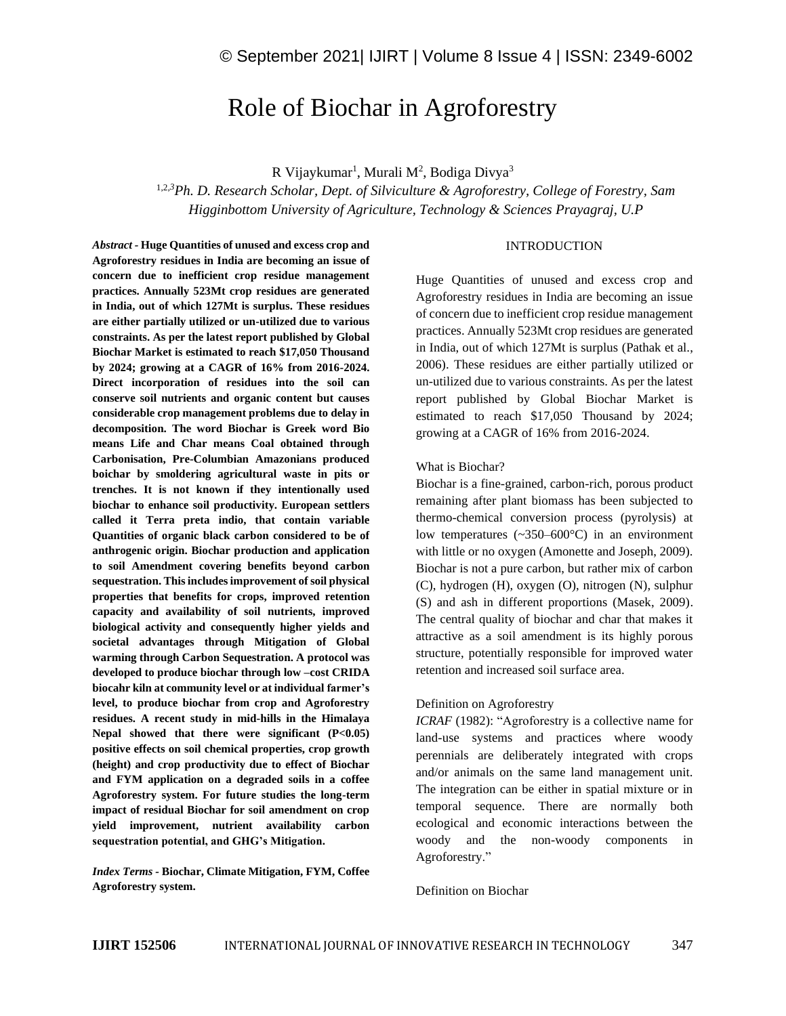# Role of Biochar in Agroforestry

R Vijaykumar<sup>1</sup>, Murali M<sup>2</sup>, Bodiga Divya<sup>3</sup>

1,2,*<sup>3</sup>Ph. D. Research Scholar, Dept. of Silviculture & Agroforestry, College of Forestry, Sam Higginbottom University of Agriculture, Technology & Sciences Prayagraj, U.P*

*Abstract -* **Huge Quantities of unused and excess crop and Agroforestry residues in India are becoming an issue of concern due to inefficient crop residue management practices. Annually 523Mt crop residues are generated in India, out of which 127Mt is surplus. These residues are either partially utilized or un-utilized due to various constraints. As per the latest report published by Global Biochar Market is estimated to reach \$17,050 Thousand by 2024; growing at a CAGR of 16% from 2016-2024. Direct incorporation of residues into the soil can conserve soil nutrients and organic content but causes considerable crop management problems due to delay in decomposition. The word Biochar is Greek word Bio means Life and Char means Coal obtained through Carbonisation, Pre-Columbian Amazonians produced boichar by smoldering agricultural waste in pits or trenches. It is not known if they intentionally used biochar to enhance soil productivity. European settlers called it Terra preta indio, that contain variable Quantities of organic black carbon considered to be of anthrogenic origin. Biochar production and application to soil Amendment covering benefits beyond carbon sequestration. This includes improvement of soil physical properties that benefits for crops, improved retention capacity and availability of soil nutrients, improved biological activity and consequently higher yields and societal advantages through Mitigation of Global warming through Carbon Sequestration. A protocol was developed to produce biochar through low –cost CRIDA biocahr kiln at community level or at individual farmer's level, to produce biochar from crop and Agroforestry residues. A recent study in mid-hills in the Himalaya Nepal showed that there were significant (P<0.05) positive effects on soil chemical properties, crop growth (height) and crop productivity due to effect of Biochar and FYM application on a degraded soils in a coffee Agroforestry system. For future studies the long-term impact of residual Biochar for soil amendment on crop yield improvement, nutrient availability carbon sequestration potential, and GHG's Mitigation.**

*Index Terms -* **Biochar, Climate Mitigation, FYM, Coffee Agroforestry system.**

#### **INTRODUCTION**

Huge Quantities of unused and excess crop and Agroforestry residues in India are becoming an issue of concern due to inefficient crop residue management practices. Annually 523Mt crop residues are generated in India, out of which 127Mt is surplus (Pathak et al., 2006). These residues are either partially utilized or un-utilized due to various constraints. As per the latest report published by Global Biochar Market is estimated to reach \$17,050 Thousand by 2024; growing at a CAGR of 16% from 2016-2024.

#### What is Biochar?

Biochar is a fine-grained, carbon-rich, porous product remaining after plant biomass has been subjected to thermo-chemical conversion process (pyrolysis) at low temperatures (~350–600°C) in an environment with little or no oxygen (Amonette and Joseph, 2009). Biochar is not a pure carbon, but rather mix of carbon (C), hydrogen (H), oxygen (O), nitrogen (N), sulphur (S) and ash in different proportions (Masek, 2009). The central quality of biochar and char that makes it attractive as a soil amendment is its highly porous structure, potentially responsible for improved water retention and increased soil surface area.

#### Definition on Agroforestry

*ICRAF* (1982): "Agroforestry is a collective name for land-use systems and practices where woody perennials are deliberately integrated with crops and/or animals on the same land management unit. The integration can be either in spatial mixture or in temporal sequence. There are normally both ecological and economic interactions between the woody and the non-woody components in Agroforestry."

#### Definition on Biochar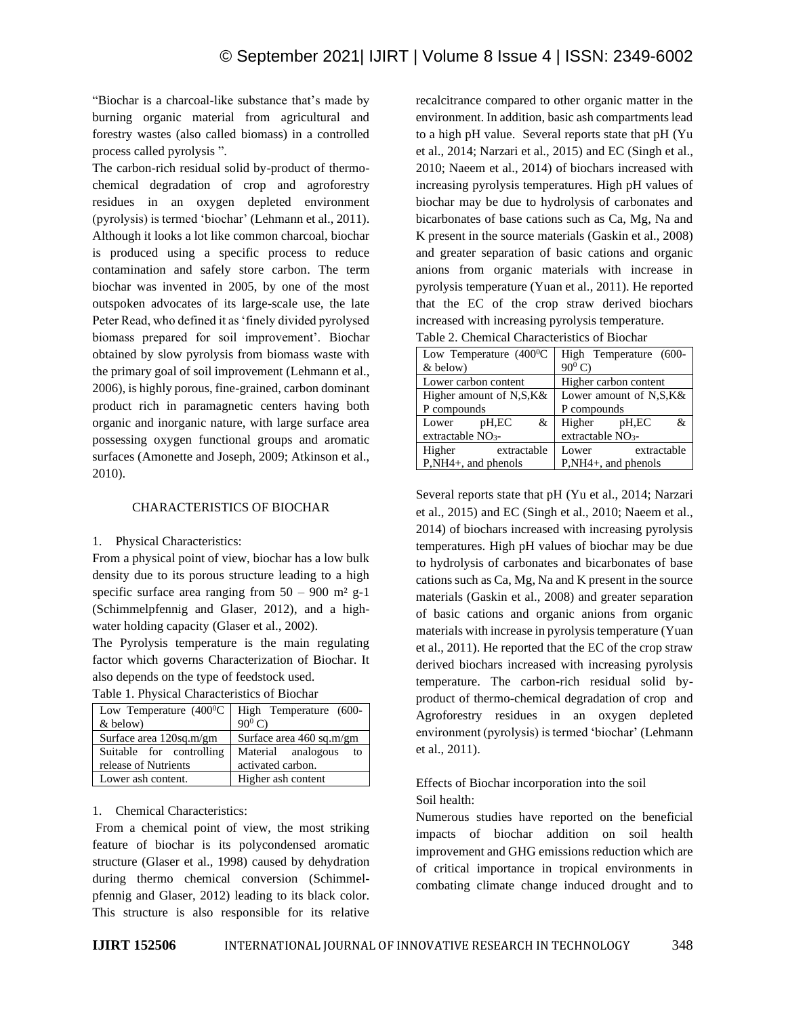"Biochar is a charcoal-like substance that's made by burning organic material from agricultural and forestry wastes (also called biomass) in a controlled process called pyrolysis ".

The carbon-rich residual solid by-product of thermochemical degradation of crop and agroforestry residues in an oxygen depleted environment (pyrolysis) is termed 'biochar' (Lehmann et al., 2011). Although it looks a lot like common charcoal, biochar is produced using a specific process to reduce contamination and safely store carbon. The term biochar was invented in 2005, by one of the most outspoken advocates of its large-scale use, the late Peter Read, who defined it as 'finely divided pyrolysed biomass prepared for soil improvement'. Biochar obtained by slow pyrolysis from biomass waste with the primary goal of soil improvement (Lehmann et al., 2006), is highly porous, fine-grained, carbon dominant product rich in paramagnetic centers having both organic and inorganic nature, with large surface area possessing oxygen functional groups and aromatic surfaces (Amonette and Joseph, 2009; Atkinson et al., 2010).

#### CHARACTERISTICS OF BIOCHAR

#### 1. Physical Characteristics:

From a physical point of view, biochar has a low bulk density due to its porous structure leading to a high specific surface area ranging from  $50 - 900$  m<sup>2</sup> g-1 (Schimmelpfennig and Glaser, 2012), and a highwater holding capacity (Glaser et al., 2002).

The Pyrolysis temperature is the main regulating factor which governs Characterization of Biochar. It also depends on the type of feedstock used.

| Table 1. Physical Characteristics of Biochar |  |  |
|----------------------------------------------|--|--|
|----------------------------------------------|--|--|

| Low Temperature $(400^{\circ}\text{C}$ High Temperature (600- |                                 |  |
|---------------------------------------------------------------|---------------------------------|--|
| & below)                                                      | $90^0 C$                        |  |
| Surface area $120$ sq.m/gm                                    | Surface area $460$ sq.m/gm      |  |
| Suitable for controlling                                      | Material analogous<br>$\sim$ to |  |
| release of Nutrients                                          | activated carbon.               |  |
| Lower ash content.                                            | Higher ash content              |  |

#### 1. Chemical Characteristics:

From a chemical point of view, the most striking feature of biochar is its polycondensed aromatic structure (Glaser et al., 1998) caused by dehydration during thermo chemical conversion (Schimmelpfennig and Glaser, 2012) leading to its black color. This structure is also responsible for its relative recalcitrance compared to other organic matter in the environment. In addition, basic ash compartments lead to a high pH value. Several reports state that pH (Yu et al., 2014; Narzari et al., 2015) and EC (Singh et al., 2010; Naeem et al., 2014) of biochars increased with increasing pyrolysis temperatures. High pH values of biochar may be due to hydrolysis of carbonates and bicarbonates of base cations such as Ca, Mg, Na and K present in the source materials (Gaskin et al., 2008) and greater separation of basic cations and organic anions from organic materials with increase in pyrolysis temperature (Yuan et al., 2011). He reported that the EC of the crop straw derived biochars increased with increasing pyrolysis temperature. Table 2. Chemical Characteristics of Biochar

| Low Temperature $(400^{\circ}C)$<br>& below) | High Temperature (600-<br>$90^0 C$ |
|----------------------------------------------|------------------------------------|
| Lower carbon content                         | Higher carbon content              |
| Higher amount of N,S,K&                      | Lower amount of $N, S, K\&$        |
| P compounds                                  | P compounds                        |
| Lower pH,EC<br>&                             | Higher pH,EC<br>&                  |
| extractable $NO3$ -                          | extractable $\overline{NO_3}$ -    |
| Higher<br>extractable                        | Lower<br>extractable               |
| $P, NH4+$ , and phenols                      | P,NH4+, and phenols                |

Several reports state that pH (Yu et al., 2014; Narzari et al., 2015) and EC (Singh et al., 2010; Naeem et al., 2014) of biochars increased with increasing pyrolysis temperatures. High pH values of biochar may be due to hydrolysis of carbonates and bicarbonates of base cations such as Ca, Mg, Na and K present in the source materials (Gaskin et al., 2008) and greater separation of basic cations and organic anions from organic materials with increase in pyrolysis temperature (Yuan et al., 2011). He reported that the EC of the crop straw derived biochars increased with increasing pyrolysis temperature. The carbon-rich residual solid byproduct of thermo-chemical degradation of crop and Agroforestry residues in an oxygen depleted environment (pyrolysis) is termed 'biochar' (Lehmann et al., 2011).

## Effects of Biochar incorporation into the soil Soil health:

Numerous studies have reported on the beneficial impacts of biochar addition on soil health improvement and GHG emissions reduction which are of critical importance in tropical environments in combating climate change induced drought and to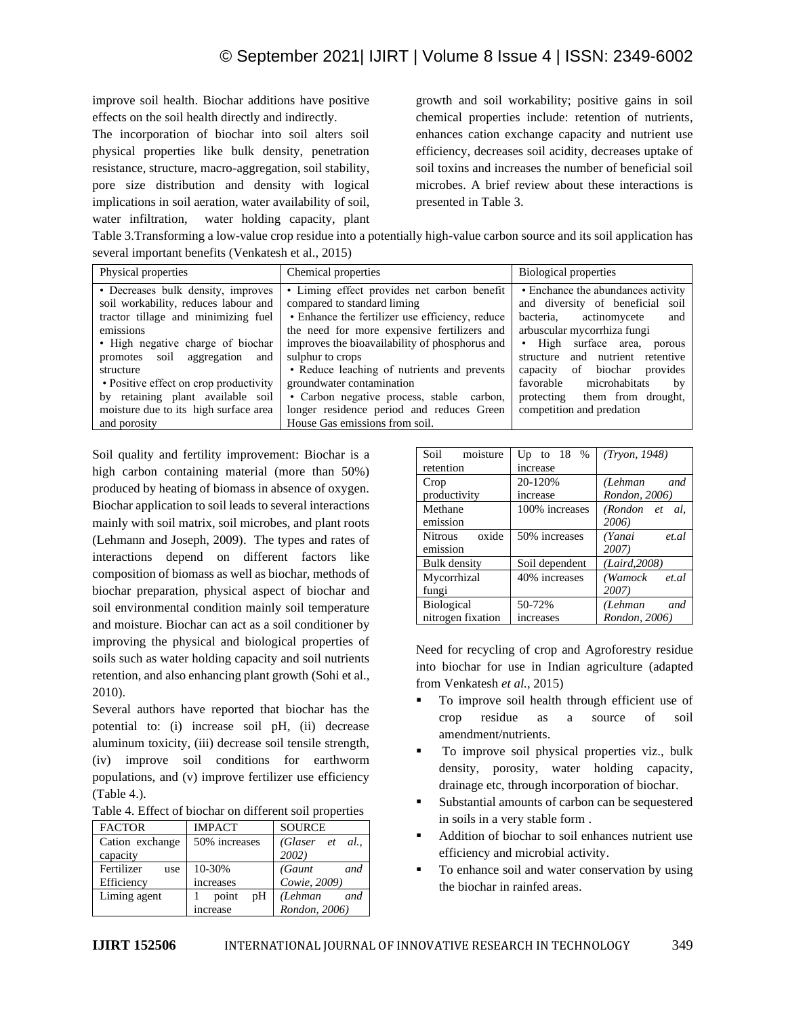improve soil health. Biochar additions have positive effects on the soil health directly and indirectly.

The incorporation of biochar into soil alters soil physical properties like bulk density, penetration resistance, structure, macro-aggregation, soil stability, pore size distribution and density with logical implications in soil aeration, water availability of soil, water infiltration, water holding capacity, plant growth and soil workability; positive gains in soil chemical properties include: retention of nutrients, enhances cation exchange capacity and nutrient use efficiency, decreases soil acidity, decreases uptake of soil toxins and increases the number of beneficial soil microbes. A brief review about these interactions is presented in Table 3.

Table 3.Transforming a low-value crop residue into a potentially high-value carbon source and its soil application has several important benefits (Venkatesh et al., 2015)

| Physical properties                                                                                                                                                                                                                                                                                                                          | Chemical properties                                                                                                                                                                                                                                                                                                                                                                                                      | Biological properties                                                                                                                                                                                                                                                                                                                                              |  |
|----------------------------------------------------------------------------------------------------------------------------------------------------------------------------------------------------------------------------------------------------------------------------------------------------------------------------------------------|--------------------------------------------------------------------------------------------------------------------------------------------------------------------------------------------------------------------------------------------------------------------------------------------------------------------------------------------------------------------------------------------------------------------------|--------------------------------------------------------------------------------------------------------------------------------------------------------------------------------------------------------------------------------------------------------------------------------------------------------------------------------------------------------------------|--|
| • Decreases bulk density, improves<br>soil workability, reduces labour and<br>tractor tillage and minimizing fuel<br>emissions<br>• High negative charge of biochar<br>soil aggregation and<br>promotes<br>structure<br>• Positive effect on crop productivity<br>by retaining plant available soil<br>moisture due to its high surface area | · Liming effect provides net carbon benefit<br>compared to standard liming<br>• Enhance the fertilizer use efficiency, reduce<br>the need for more expensive fertilizers and<br>improves the bioavailability of phosphorus and<br>sulphur to crops<br>• Reduce leaching of nutrients and prevents<br>groundwater contamination<br>· Carbon negative process, stable carbon,<br>longer residence period and reduces Green | • Enchance the abundances activity<br>and diversity of beneficial soil<br>bacteria, actinomycete<br>and<br>arbuscular mycorrhiza fungi<br>High<br>surface area, porous<br>$\bullet$<br>and nutrient retentive<br>structure<br>of biochar<br>provides<br>capacity<br>favorable<br>microhabitats<br>by<br>protecting them from drought,<br>competition and predation |  |
| and porosity                                                                                                                                                                                                                                                                                                                                 | House Gas emissions from soil.                                                                                                                                                                                                                                                                                                                                                                                           |                                                                                                                                                                                                                                                                                                                                                                    |  |

Soil quality and fertility improvement: Biochar is a high carbon containing material (more than 50%) produced by heating of biomass in absence of oxygen. Biochar application to soil leads to several interactions mainly with soil matrix, soil microbes, and plant roots (Lehmann and Joseph, 2009). The types and rates of interactions depend on different factors like composition of biomass as well as biochar, methods of biochar preparation, physical aspect of biochar and soil environmental condition mainly soil temperature and moisture. Biochar can act as a soil conditioner by improving the physical and biological properties of soils such as water holding capacity and soil nutrients retention, and also enhancing plant growth (Sohi et al., 2010).

Several authors have reported that biochar has the potential to: (i) increase soil pH, (ii) decrease aluminum toxicity, (iii) decrease soil tensile strength, (iv) improve soil conditions for earthworm populations, and (v) improve fertilizer use efficiency (Table 4.).

Table 4. Effect of biochar on different soil properties

| <b>FACTOR</b>     | <b>IMPACT</b> | <b>SOURCE</b>   |
|-------------------|---------------|-----------------|
| Cation exchange   | 50% increases | (Glaser et al., |
| capacity          |               | 2002)           |
| Fertilizer<br>use | 10-30%        | (Gaunt<br>and   |
| Efficiency        | increases     | Cowie, 2009)    |
| Liming agent      | point<br>pΗ   | (Lehman)<br>and |
|                   | increase      | Rondon, 2006)   |

| Soil<br>moisture        | $\%$<br>Up to $18$ | (Tryon, 1948)   |
|-------------------------|--------------------|-----------------|
| retention               | increase           |                 |
| Crop                    | 20-120%            | (Lehman and     |
| productivity            | increase           | Rondon, 2006)   |
| Methane                 | 100% increases     | (Rondon et al.  |
| emission                |                    | 2006)           |
| oxide<br><b>Nitrous</b> | 50% increases      | (Yanai<br>et.al |
| emission                |                    | 2007)           |
| <b>Bulk</b> density     | Soil dependent     | (Laird, 2008)   |
| Mycorrhizal             | 40% increases      | (Wamock et.al   |
| fungi                   |                    | 2007)           |
| <b>Biological</b>       | 50-72%             | (Lehman<br>and  |
| nitrogen fixation       | increases          | Rondon, 2006)   |

Need for recycling of crop and Agroforestry residue into biochar for use in Indian agriculture (adapted from Venkatesh *et al.,* 2015)

- To improve soil health through efficient use of crop residue as a source of soil amendment/nutrients.
- To improve soil physical properties viz., bulk density, porosity, water holding capacity, drainage etc, through incorporation of biochar.
- Substantial amounts of carbon can be sequestered in soils in a very stable form .
- Addition of biochar to soil enhances nutrient use efficiency and microbial activity.
- To enhance soil and water conservation by using the biochar in rainfed areas.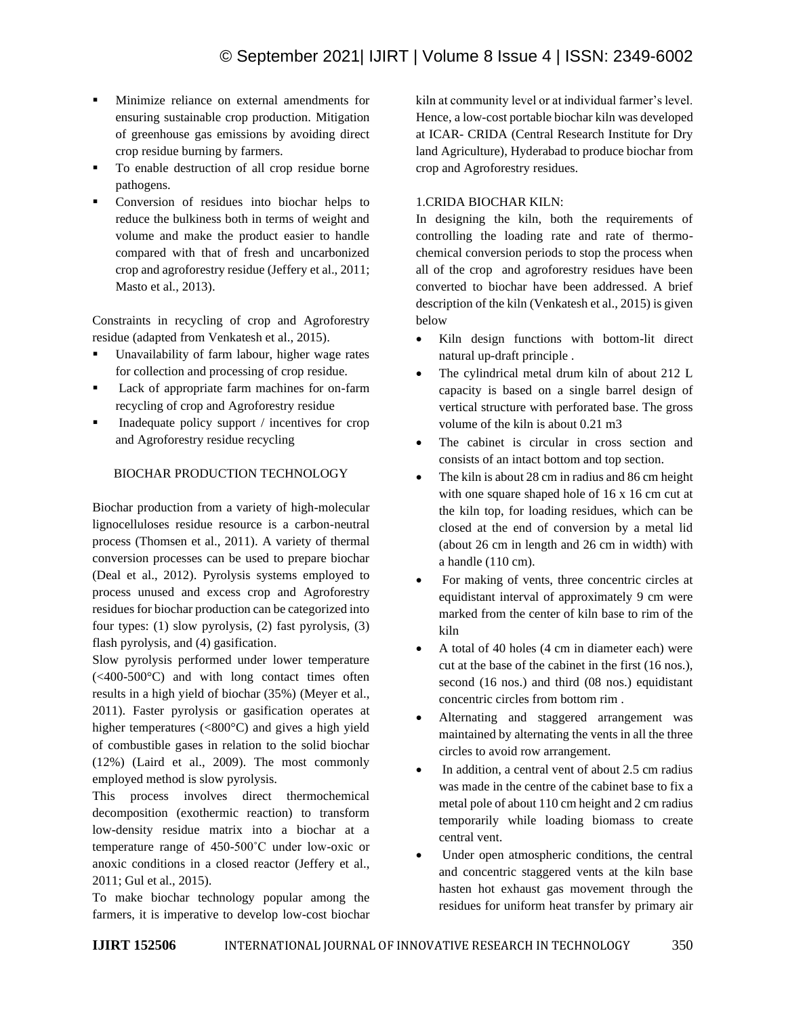- Minimize reliance on external amendments for ensuring sustainable crop production. Mitigation of greenhouse gas emissions by avoiding direct crop residue burning by farmers.
- To enable destruction of all crop residue borne pathogens.
- Conversion of residues into biochar helps to reduce the bulkiness both in terms of weight and volume and make the product easier to handle compared with that of fresh and uncarbonized crop and agroforestry residue (Jeffery et al., 2011; Masto et al., 2013).

Constraints in recycling of crop and Agroforestry residue (adapted from Venkatesh et al., 2015).

- Unavailability of farm labour, higher wage rates for collection and processing of crop residue.
- Lack of appropriate farm machines for on-farm recycling of crop and Agroforestry residue
- Inadequate policy support  $/$  incentives for crop and Agroforestry residue recycling

# BIOCHAR PRODUCTION TECHNOLOGY

Biochar production from a variety of high-molecular lignocelluloses residue resource is a carbon-neutral process (Thomsen et al., 2011). A variety of thermal conversion processes can be used to prepare biochar (Deal et al., 2012). Pyrolysis systems employed to process unused and excess crop and Agroforestry residues for biochar production can be categorized into four types: (1) slow pyrolysis, (2) fast pyrolysis, (3) flash pyrolysis, and (4) gasification.

Slow pyrolysis performed under lower temperature  $( $400-500^{\circ}$ C)$  and with long contact times often results in a high yield of biochar (35%) (Meyer et al., 2011). Faster pyrolysis or gasification operates at higher temperatures (<800°C) and gives a high yield of combustible gases in relation to the solid biochar (12%) (Laird et al., 2009). The most commonly employed method is slow pyrolysis.

This process involves direct thermochemical decomposition (exothermic reaction) to transform low-density residue matrix into a biochar at a temperature range of 450-500˚C under low-oxic or anoxic conditions in a closed reactor (Jeffery et al., 2011; Gul et al., 2015).

To make biochar technology popular among the farmers, it is imperative to develop low-cost biochar kiln at community level or at individual farmer's level. Hence, a low-cost portable biochar kiln was developed at ICAR- CRIDA (Central Research Institute for Dry land Agriculture), Hyderabad to produce biochar from crop and Agroforestry residues.

## 1.CRIDA BIOCHAR KILN:

In designing the kiln, both the requirements of controlling the loading rate and rate of thermochemical conversion periods to stop the process when all of the crop and agroforestry residues have been converted to biochar have been addressed. A brief description of the kiln (Venkatesh et al., 2015) is given below

- Kiln design functions with bottom-lit direct natural up-draft principle .
- The cylindrical metal drum kiln of about 212 L capacity is based on a single barrel design of vertical structure with perforated base. The gross volume of the kiln is about 0.21 m3
- The cabinet is circular in cross section and consists of an intact bottom and top section.
- The kiln is about 28 cm in radius and 86 cm height with one square shaped hole of 16 x 16 cm cut at the kiln top, for loading residues, which can be closed at the end of conversion by a metal lid (about 26 cm in length and 26 cm in width) with a handle (110 cm).
- For making of vents, three concentric circles at equidistant interval of approximately 9 cm were marked from the center of kiln base to rim of the kiln
- A total of 40 holes (4 cm in diameter each) were cut at the base of the cabinet in the first (16 nos.), second (16 nos.) and third (08 nos.) equidistant concentric circles from bottom rim .
- Alternating and staggered arrangement was maintained by alternating the vents in all the three circles to avoid row arrangement.
- In addition, a central vent of about 2.5 cm radius was made in the centre of the cabinet base to fix a metal pole of about 110 cm height and 2 cm radius temporarily while loading biomass to create central vent.
- Under open atmospheric conditions, the central and concentric staggered vents at the kiln base hasten hot exhaust gas movement through the residues for uniform heat transfer by primary air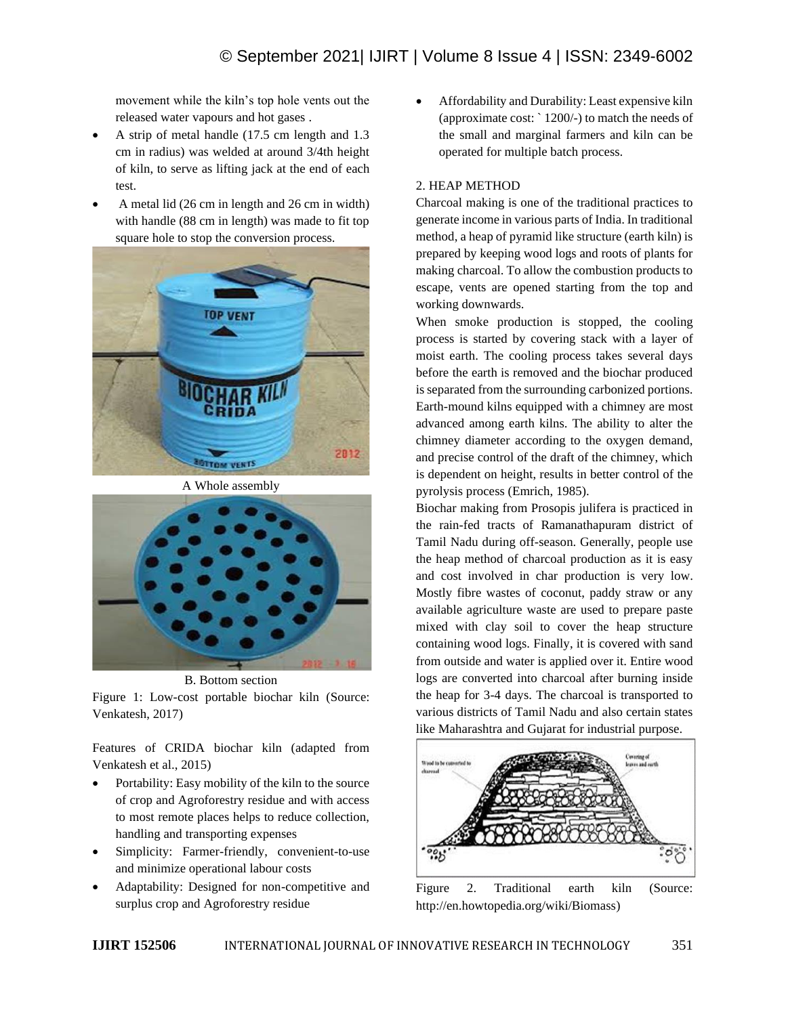movement while the kiln's top hole vents out the released water vapours and hot gases .

- A strip of metal handle (17.5 cm length and 1.3 cm in radius) was welded at around 3/4th height of kiln, to serve as lifting jack at the end of each test.
- A metal lid (26 cm in length and 26 cm in width) with handle (88 cm in length) was made to fit top square hole to stop the conversion process.



A Whole assembly



Figure 1: Low-cost portable biochar kiln (Source: Venkatesh, 2017)

Features of CRIDA biochar kiln (adapted from Venkatesh et al., 2015)

- Portability: Easy mobility of the kiln to the source of crop and Agroforestry residue and with access to most remote places helps to reduce collection, handling and transporting expenses
- Simplicity: Farmer-friendly, convenient-to-use and minimize operational labour costs
- Adaptability: Designed for non-competitive and surplus crop and Agroforestry residue

• Affordability and Durability: Least expensive kiln (approximate cost: ` 1200/-) to match the needs of the small and marginal farmers and kiln can be operated for multiple batch process.

### 2. HEAP METHOD

Charcoal making is one of the traditional practices to generate income in various parts of India. In traditional method, a heap of pyramid like structure (earth kiln) is prepared by keeping wood logs and roots of plants for making charcoal. To allow the combustion products to escape, vents are opened starting from the top and working downwards.

When smoke production is stopped, the cooling process is started by covering stack with a layer of moist earth. The cooling process takes several days before the earth is removed and the biochar produced is separated from the surrounding carbonized portions. Earth-mound kilns equipped with a chimney are most advanced among earth kilns. The ability to alter the chimney diameter according to the oxygen demand, and precise control of the draft of the chimney, which is dependent on height, results in better control of the pyrolysis process (Emrich, 1985).

Biochar making from Prosopis julifera is practiced in the rain-fed tracts of Ramanathapuram district of Tamil Nadu during off-season. Generally, people use the heap method of charcoal production as it is easy and cost involved in char production is very low. Mostly fibre wastes of coconut, paddy straw or any available agriculture waste are used to prepare paste mixed with clay soil to cover the heap structure containing wood logs. Finally, it is covered with sand from outside and water is applied over it. Entire wood logs are converted into charcoal after burning inside the heap for 3-4 days. The charcoal is transported to various districts of Tamil Nadu and also certain states like Maharashtra and Gujarat for industrial purpose.



Figure 2. Traditional earth kiln (Source: http://en.howtopedia.org/wiki/Biomass)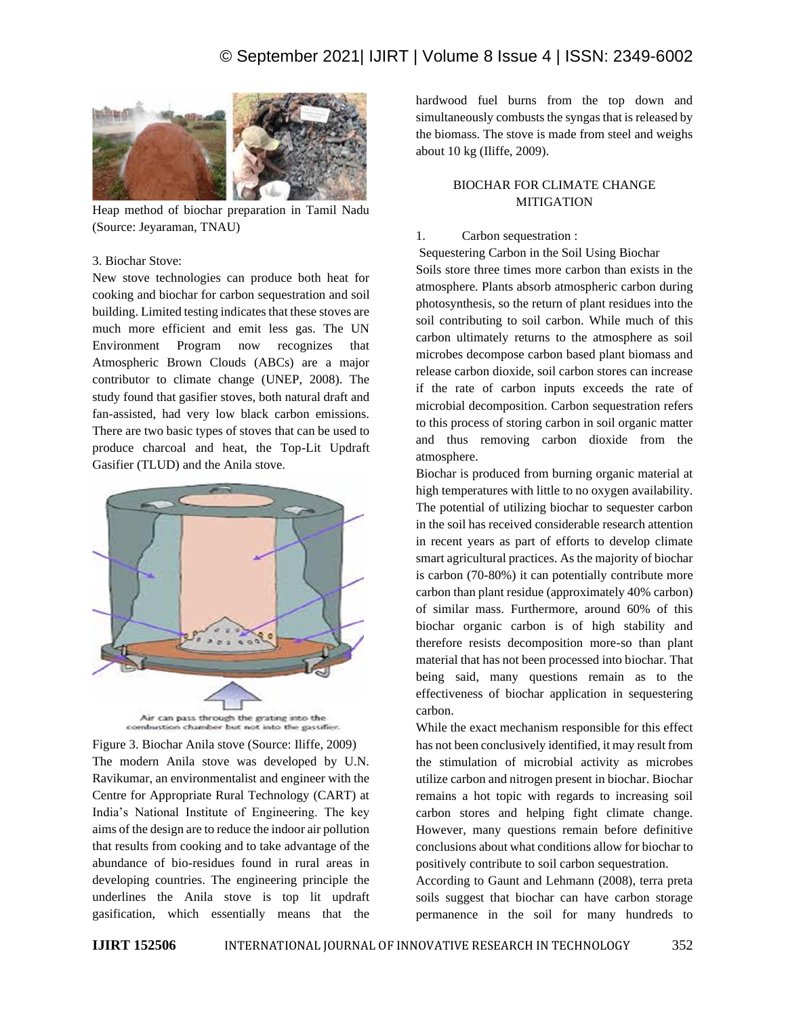

Heap method of biochar preparation in Tamil Nadu (Source: Jeyaraman, TNAU)

#### 3. Biochar Stove:

New stove technologies can produce both heat for cooking and biochar for carbon sequestration and soil building. Limited testing indicates that these stoves are much more efficient and emit less gas. The UN Environment Program now recognizes that Atmospheric Brown Clouds (ABCs) are a major contributor to climate change (UNEP, 2008). The study found that gasifier stoves, both natural draft and fan-assisted, had very low black carbon emissions. There are two basic types of stoves that can be used to produce charcoal and heat, the Top-Lit Updraft Gasifier (TLUD) and the Anila stove.





Figure 3. Biochar Anila stove (Source: Iliffe, 2009) The modern Anila stove was developed by U.N. Ravikumar, an environmentalist and engineer with the Centre for Appropriate Rural Technology (CART) at India's National Institute of Engineering. The key aims of the design are to reduce the indoor air pollution that results from cooking and to take advantage of the abundance of bio-residues found in rural areas in developing countries. The engineering principle the underlines the Anila stove is top lit updraft gasification, which essentially means that the

hardwood fuel burns from the top down and simultaneously combusts the syngas that is released by the biomass. The stove is made from steel and weighs about 10 kg (Iliffe, 2009).

## BIOCHAR FOR CLIMATE CHANGE MITIGATION

#### 1. Carbon sequestration :

Sequestering Carbon in the Soil Using Biochar Soils store three times more carbon than exists in the atmosphere. Plants absorb atmospheric carbon during photosynthesis, so the return of plant residues into the soil contributing to soil carbon. While much of this carbon ultimately returns to the atmosphere as soil microbes decompose carbon based plant biomass and release carbon dioxide, soil carbon stores can increase if the rate of carbon inputs exceeds the rate of microbial decomposition. Carbon sequestration refers to this process of storing carbon in soil organic matter and thus removing carbon dioxide from the atmosphere.

Biochar is produced from burning organic material at high temperatures with little to no oxygen availability. The potential of utilizing biochar to sequester carbon in the soil has received considerable research attention in recent years as part of efforts to develop climate smart agricultural practices. As the majority of biochar is carbon (70-80%) it can potentially contribute more carbon than plant residue (approximately 40% carbon) of similar mass. Furthermore, around 60% of this biochar organic carbon is of high stability and therefore resists decomposition more-so than plant material that has not been processed into biochar. That being said, many questions remain as to the effectiveness of biochar application in sequestering carbon.

While the exact mechanism responsible for this effect has not been conclusively identified, it may result from the stimulation of microbial activity as microbes utilize carbon and nitrogen present in biochar. Biochar remains a hot topic with regards to increasing soil carbon stores and helping fight climate change. However, many questions remain before definitive conclusions about what conditions allow for biochar to positively contribute to soil carbon sequestration.

According to Gaunt and Lehmann (2008), terra preta soils suggest that biochar can have carbon storage permanence in the soil for many hundreds to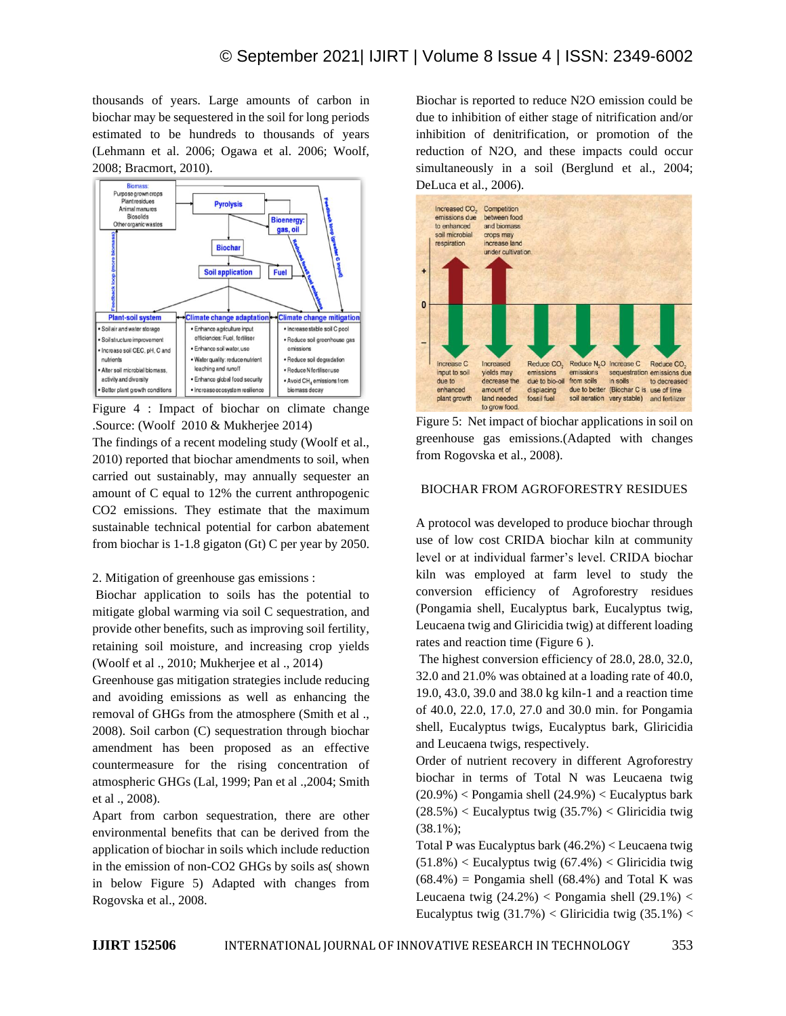thousands of years. Large amounts of carbon in biochar may be sequestered in the soil for long periods estimated to be hundreds to thousands of years (Lehmann et al. 2006; Ogawa et al. 2006; Woolf, 2008; Bracmort, 2010).



Figure 4 : Impact of biochar on climate change .Source: (Woolf 2010 & Mukherjee 2014)

The findings of a recent modeling study (Woolf et al., 2010) reported that biochar amendments to soil, when carried out sustainably, may annually sequester an amount of C equal to 12% the current anthropogenic CO2 emissions. They estimate that the maximum sustainable technical potential for carbon abatement from biochar is 1-1.8 gigaton (Gt) C per year by 2050.

2. Mitigation of greenhouse gas emissions :

Biochar application to soils has the potential to mitigate global warming via soil C sequestration, and provide other benefits, such as improving soil fertility, retaining soil moisture, and increasing crop yields (Woolf et al ., 2010; Mukherjee et al ., 2014)

Greenhouse gas mitigation strategies include reducing and avoiding emissions as well as enhancing the removal of GHGs from the atmosphere (Smith et al ., 2008). Soil carbon (C) sequestration through biochar amendment has been proposed as an effective countermeasure for the rising concentration of atmospheric GHGs (Lal, 1999; Pan et al .,2004; Smith et al ., 2008).

Apart from carbon sequestration, there are other environmental benefits that can be derived from the application of biochar in soils which include reduction in the emission of non-CO2 GHGs by soils as( shown in below Figure 5) Adapted with changes from Rogovska et al., 2008.

Biochar is reported to reduce N2O emission could be due to inhibition of either stage of nitrification and/or inhibition of denitrification, or promotion of the reduction of N2O, and these impacts could occur simultaneously in a soil (Berglund et al., 2004; DeLuca et al., 2006).



Figure 5: Net impact of biochar applications in soil on greenhouse gas emissions.(Adapted with changes from Rogovska et al., 2008).

### BIOCHAR FROM AGROFORESTRY RESIDUES

A protocol was developed to produce biochar through use of low cost CRIDA biochar kiln at community level or at individual farmer's level. CRIDA biochar kiln was employed at farm level to study the conversion efficiency of Agroforestry residues (Pongamia shell, Eucalyptus bark, Eucalyptus twig, Leucaena twig and Gliricidia twig) at different loading rates and reaction time (Figure 6 ).

The highest conversion efficiency of 28.0, 28.0, 32.0, 32.0 and 21.0% was obtained at a loading rate of 40.0, 19.0, 43.0, 39.0 and 38.0 kg kiln-1 and a reaction time of 40.0, 22.0, 17.0, 27.0 and 30.0 min. for Pongamia shell, Eucalyptus twigs, Eucalyptus bark, Gliricidia and Leucaena twigs, respectively.

Order of nutrient recovery in different Agroforestry biochar in terms of Total N was Leucaena twig  $(20.9\%)$  < Pongamia shell  $(24.9\%)$  < Eucalyptus bark  $(28.5\%) <$  Eucalyptus twig  $(35.7\%) <$  Gliricidia twig (38.1%);

Total P was Eucalyptus bark (46.2%) < Leucaena twig  $(51.8\%)$  < Eucalyptus twig  $(67.4\%)$  < Gliricidia twig  $(68.4\%)$  = Pongamia shell  $(68.4\%)$  and Total K was Leucaena twig  $(24.2\%)$  < Pongamia shell  $(29.1\%)$  < Eucalyptus twig  $(31.7%) <$  Gliricidia twig  $(35.1%) <$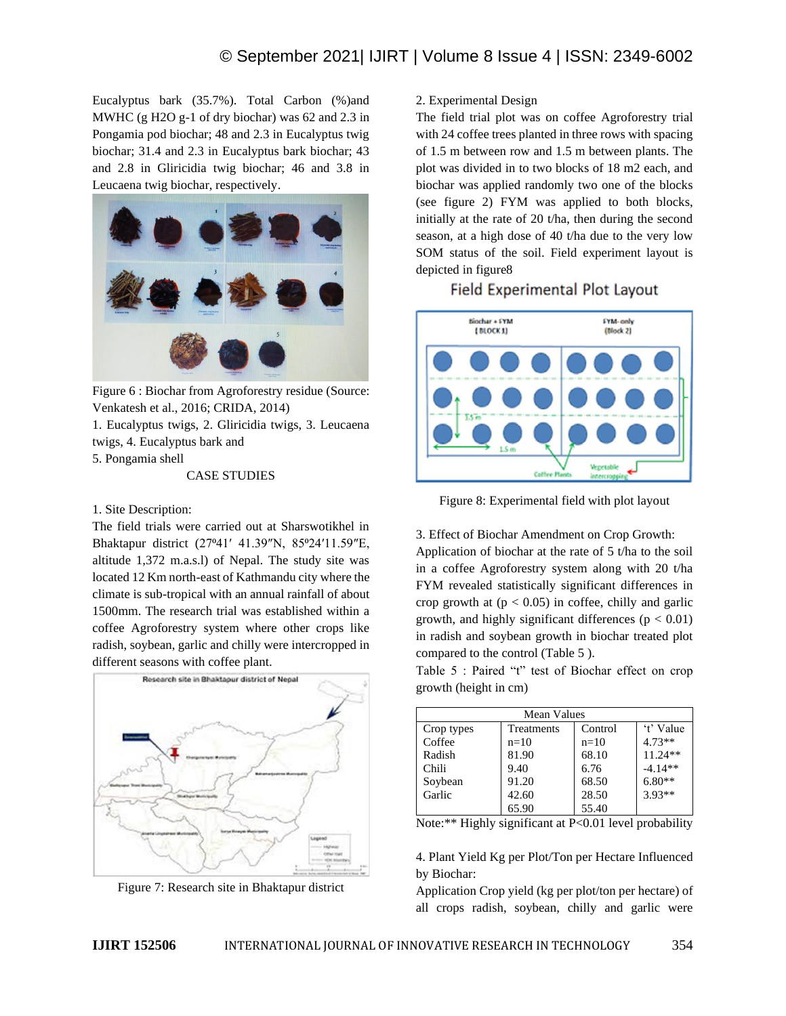Eucalyptus bark (35.7%). Total Carbon (%)and MWHC (g H2O g-1 of dry biochar) was 62 and 2.3 in Pongamia pod biochar; 48 and 2.3 in Eucalyptus twig biochar; 31.4 and 2.3 in Eucalyptus bark biochar; 43 and 2.8 in Gliricidia twig biochar; 46 and 3.8 in Leucaena twig biochar, respectively.



Figure 6 : Biochar from Agroforestry residue (Source: Venkatesh et al., 2016; CRIDA, 2014)

1. Eucalyptus twigs, 2. Gliricidia twigs, 3. Leucaena twigs, 4. Eucalyptus bark and

5. Pongamia shell

## CASE STUDIES

#### 1. Site Description:

The field trials were carried out at Sharswotikhel in Bhaktapur district (27°41′ 41.39"N, 85°24'11.59"E, altitude 1,372 m.a.s.l) of Nepal. The study site was located 12 Km north-east of Kathmandu city where the climate is sub-tropical with an annual rainfall of about 1500mm. The research trial was established within a coffee Agroforestry system where other crops like radish, soybean, garlic and chilly were intercropped in different seasons with coffee plant.



Figure 7: Research site in Bhaktapur district

#### 2. Experimental Design

The field trial plot was on coffee Agroforestry trial with 24 coffee trees planted in three rows with spacing of 1.5 m between row and 1.5 m between plants. The plot was divided in to two blocks of 18 m2 each, and biochar was applied randomly two one of the blocks (see figure 2) FYM was applied to both blocks, initially at the rate of 20 t/ha, then during the second season, at a high dose of 40 t/ha due to the very low SOM status of the soil. Field experiment layout is depicted in figure8

# Field Experimental Plot Layout



Figure 8: Experimental field with plot layout

3. Effect of Biochar Amendment on Crop Growth:

Application of biochar at the rate of 5 t/ha to the soil in a coffee Agroforestry system along with 20 t/ha FYM revealed statistically significant differences in crop growth at  $(p < 0.05)$  in coffee, chilly and garlic growth, and highly significant differences ( $p < 0.01$ ) in radish and soybean growth in biochar treated plot compared to the control (Table 5 ).

Table 5 : Paired "t" test of Biochar effect on crop growth (height in cm)

| Mean Values |            |         |           |
|-------------|------------|---------|-----------|
| Crop types  | Treatments | Control | 't' Value |
| Coffee      | $n=10$     | $n=10$  | $4.73**$  |
| Radish      | 81.90      | 68.10   | $11.24**$ |
| Chili       | 9.40       | 6.76    | $-4.14**$ |
| Soybean     | 91.20      | 68.50   | $6.80**$  |
| Garlic      | 42.60      | 28.50   | $3.93**$  |
|             | 65.90      | 55.40   |           |

Note:\*\* Highly significant at P<0.01 level probability

4. Plant Yield Kg per Plot/Ton per Hectare Influenced by Biochar:

Application Crop yield (kg per plot/ton per hectare) of all crops radish, soybean, chilly and garlic were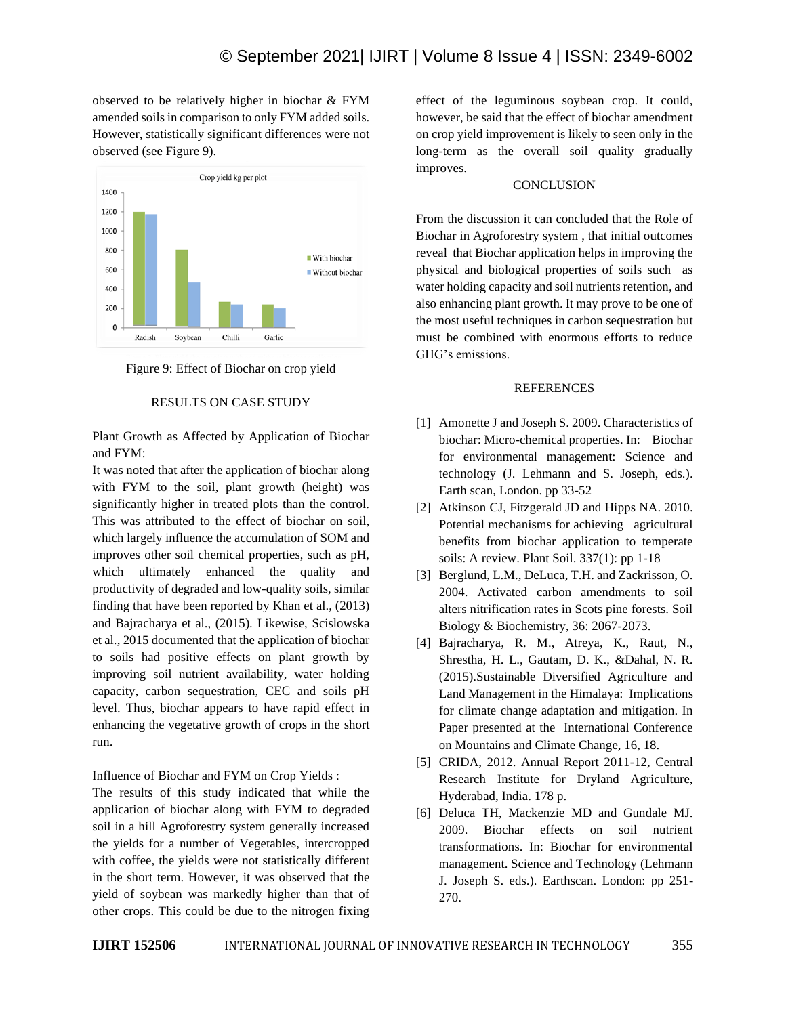observed to be relatively higher in biochar & FYM amended soils in comparison to only FYM added soils. However, statistically significant differences were not observed (see Figure 9).



Figure 9: Effect of Biochar on crop yield

### RESULTS ON CASE STUDY

Plant Growth as Affected by Application of Biochar and FYM:

It was noted that after the application of biochar along with FYM to the soil, plant growth (height) was significantly higher in treated plots than the control. This was attributed to the effect of biochar on soil, which largely influence the accumulation of SOM and improves other soil chemical properties, such as pH, which ultimately enhanced the quality and productivity of degraded and low-quality soils, similar finding that have been reported by Khan et al., (2013) and Bajracharya et al., (2015). Likewise, Scislowska et al., 2015 documented that the application of biochar to soils had positive effects on plant growth by improving soil nutrient availability, water holding capacity, carbon sequestration, CEC and soils pH level. Thus, biochar appears to have rapid effect in enhancing the vegetative growth of crops in the short run.

Influence of Biochar and FYM on Crop Yields :

The results of this study indicated that while the application of biochar along with FYM to degraded soil in a hill Agroforestry system generally increased the yields for a number of Vegetables, intercropped with coffee, the yields were not statistically different in the short term. However, it was observed that the yield of soybean was markedly higher than that of other crops. This could be due to the nitrogen fixing

effect of the leguminous soybean crop. It could, however, be said that the effect of biochar amendment on crop yield improvement is likely to seen only in the long-term as the overall soil quality gradually improves.

## **CONCLUSION**

From the discussion it can concluded that the Role of Biochar in Agroforestry system , that initial outcomes reveal that Biochar application helps in improving the physical and biological properties of soils such as water holding capacity and soil nutrients retention, and also enhancing plant growth. It may prove to be one of the most useful techniques in carbon sequestration but must be combined with enormous efforts to reduce GHG's emissions.

#### **REFERENCES**

- [1] Amonette J and Joseph S. 2009. Characteristics of biochar: Micro-chemical properties. In: Biochar for environmental management: Science and technology (J. Lehmann and S. Joseph, eds.). Earth scan, London. pp 33-52
- [2] Atkinson CJ, Fitzgerald JD and Hipps NA. 2010. Potential mechanisms for achieving agricultural benefits from biochar application to temperate soils: A review. Plant Soil. 337(1): pp 1-18
- [3] Berglund, L.M., DeLuca, T.H. and Zackrisson, O. 2004. Activated carbon amendments to soil alters nitrification rates in Scots pine forests. Soil Biology & Biochemistry, 36: 2067-2073.
- [4] Bajracharya, R. M., Atreya, K., Raut, N., Shrestha, H. L., Gautam, D. K., &Dahal, N. R. (2015).Sustainable Diversified Agriculture and Land Management in the Himalaya: Implications for climate change adaptation and mitigation. In Paper presented at the International Conference on Mountains and Climate Change, 16, 18.
- [5] CRIDA, 2012. Annual Report 2011-12, Central Research Institute for Dryland Agriculture, Hyderabad, India. 178 p.
- [6] Deluca TH, Mackenzie MD and Gundale MJ. 2009. Biochar effects on soil nutrient transformations. In: Biochar for environmental management. Science and Technology (Lehmann J. Joseph S. eds.). Earthscan. London: pp 251- 270.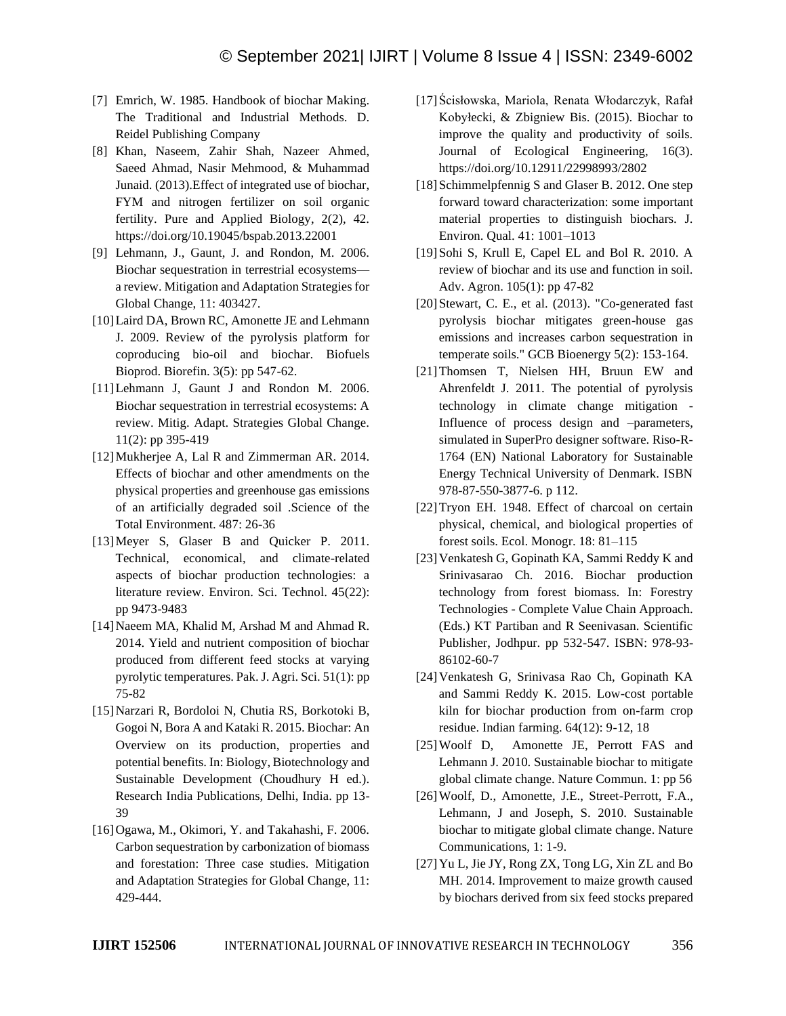- [7] Emrich, W. 1985. Handbook of biochar Making. The Traditional and Industrial Methods. D. Reidel Publishing Company
- [8] Khan, Naseem, Zahir Shah, Nazeer Ahmed, Saeed Ahmad, Nasir Mehmood, & Muhammad Junaid. (2013).Effect of integrated use of biochar, FYM and nitrogen fertilizer on soil organic fertility. Pure and Applied Biology, 2(2), 42. https://doi.org/10.19045/bspab.2013.22001
- [9] Lehmann, J., Gaunt, J. and Rondon, M. 2006. Biochar sequestration in terrestrial ecosystems a review. Mitigation and Adaptation Strategies for Global Change, 11: 403427.
- [10]Laird DA, Brown RC, Amonette JE and Lehmann J. 2009. Review of the pyrolysis platform for coproducing bio-oil and biochar. Biofuels Bioprod. Biorefin. 3(5): pp 547-62.
- [11]Lehmann J, Gaunt J and Rondon M. 2006. Biochar sequestration in terrestrial ecosystems: A review. Mitig. Adapt. Strategies Global Change. 11(2): pp 395-419
- [12] Mukherjee A, Lal R and Zimmerman AR. 2014. Effects of biochar and other amendments on the physical properties and greenhouse gas emissions of an artificially degraded soil .Science of the Total Environment. 487: 26-36
- [13] Meyer S, Glaser B and Quicker P. 2011. Technical, economical, and climate-related aspects of biochar production technologies: a literature review. Environ. Sci. Technol. 45(22): pp 9473-9483
- [14]Naeem MA, Khalid M, Arshad M and Ahmad R. 2014. Yield and nutrient composition of biochar produced from different feed stocks at varying pyrolytic temperatures. Pak. J. Agri. Sci. 51(1): pp 75-82
- [15]Narzari R, Bordoloi N, Chutia RS, Borkotoki B, Gogoi N, Bora A and Kataki R. 2015. Biochar: An Overview on its production, properties and potential benefits. In: Biology, Biotechnology and Sustainable Development (Choudhury H ed.). Research India Publications, Delhi, India. pp 13- 39
- [16]Ogawa, M., Okimori, Y. and Takahashi, F. 2006. Carbon sequestration by carbonization of biomass and forestation: Three case studies. Mitigation and Adaptation Strategies for Global Change, 11: 429-444.
- [17]Ścisłowska, Mariola, Renata Włodarczyk, Rafał Kobyłecki, & Zbigniew Bis. (2015). Biochar to improve the quality and productivity of soils. Journal of Ecological Engineering, 16(3). https://doi.org/10.12911/22998993/2802
- [18] Schimmelpfennig S and Glaser B. 2012. One step forward toward characterization: some important material properties to distinguish biochars. J. Environ. Qual. 41: 1001–1013
- [19]Sohi S, Krull E, Capel EL and Bol R. 2010. A review of biochar and its use and function in soil. Adv. Agron. 105(1): pp 47-82
- [20]Stewart, C. E., et al. (2013). "Co-generated fast pyrolysis biochar mitigates green-house gas emissions and increases carbon sequestration in temperate soils." GCB Bioenergy 5(2): 153-164.
- [21]Thomsen T, Nielsen HH, Bruun EW and Ahrenfeldt J. 2011. The potential of pyrolysis technology in climate change mitigation - Influence of process design and –parameters, simulated in SuperPro designer software. Riso-R-1764 (EN) National Laboratory for Sustainable Energy Technical University of Denmark. ISBN 978-87-550-3877-6. p 112.
- [22]Tryon EH. 1948. Effect of charcoal on certain physical, chemical, and biological properties of forest soils. Ecol. Monogr. 18: 81–115
- [23]Venkatesh G, Gopinath KA, Sammi Reddy K and Srinivasarao Ch. 2016. Biochar production technology from forest biomass. In: Forestry Technologies - Complete Value Chain Approach. (Eds.) KT Partiban and R Seenivasan. Scientific Publisher, Jodhpur. pp 532-547. ISBN: 978-93- 86102-60-7
- [24]Venkatesh G, Srinivasa Rao Ch, Gopinath KA and Sammi Reddy K. 2015. Low-cost portable kiln for biochar production from on-farm crop residue. Indian farming. 64(12): 9-12, 18
- [25]Woolf D, Amonette JE, Perrott FAS and Lehmann J. 2010. Sustainable biochar to mitigate global climate change. Nature Commun. 1: pp 56
- [26]Woolf, D., Amonette, J.E., Street-Perrott, F.A., Lehmann, J and Joseph, S. 2010. Sustainable biochar to mitigate global climate change. Nature Communications, 1: 1-9.
- [27]Yu L, Jie JY, Rong ZX, Tong LG, Xin ZL and Bo MH. 2014. Improvement to maize growth caused by biochars derived from six feed stocks prepared